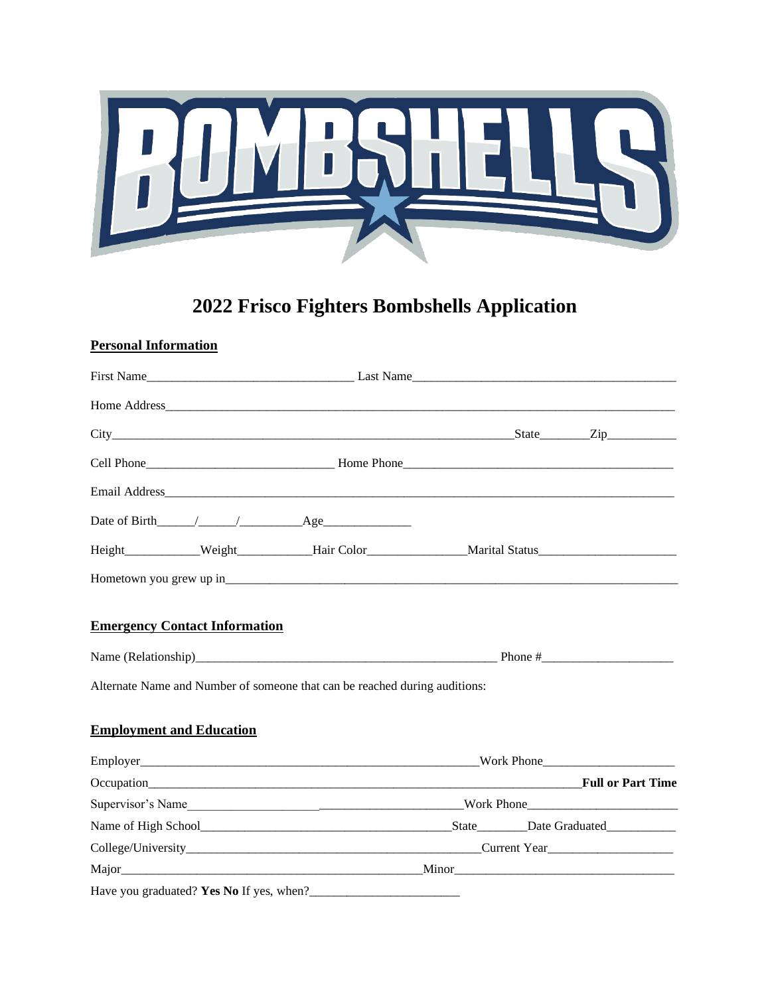

# **2022 Frisco Fighters Bombshells Application**

## **Personal Information**

|                                          | Email Address and Address and Address and Address and Address and Address and Address and Address and Address and Address and Address and Address and Address and Address and Address and Address and Address and Address and |  |
|------------------------------------------|-------------------------------------------------------------------------------------------------------------------------------------------------------------------------------------------------------------------------------|--|
|                                          |                                                                                                                                                                                                                               |  |
|                                          |                                                                                                                                                                                                                               |  |
|                                          |                                                                                                                                                                                                                               |  |
| <b>Emergency Contact Information</b>     |                                                                                                                                                                                                                               |  |
|                                          |                                                                                                                                                                                                                               |  |
|                                          | Alternate Name and Number of someone that can be reached during auditions:                                                                                                                                                    |  |
| <b>Employment and Education</b>          |                                                                                                                                                                                                                               |  |
|                                          |                                                                                                                                                                                                                               |  |
|                                          |                                                                                                                                                                                                                               |  |
|                                          |                                                                                                                                                                                                                               |  |
|                                          |                                                                                                                                                                                                                               |  |
|                                          |                                                                                                                                                                                                                               |  |
|                                          |                                                                                                                                                                                                                               |  |
| Have you graduated? Yes No If yes, when? |                                                                                                                                                                                                                               |  |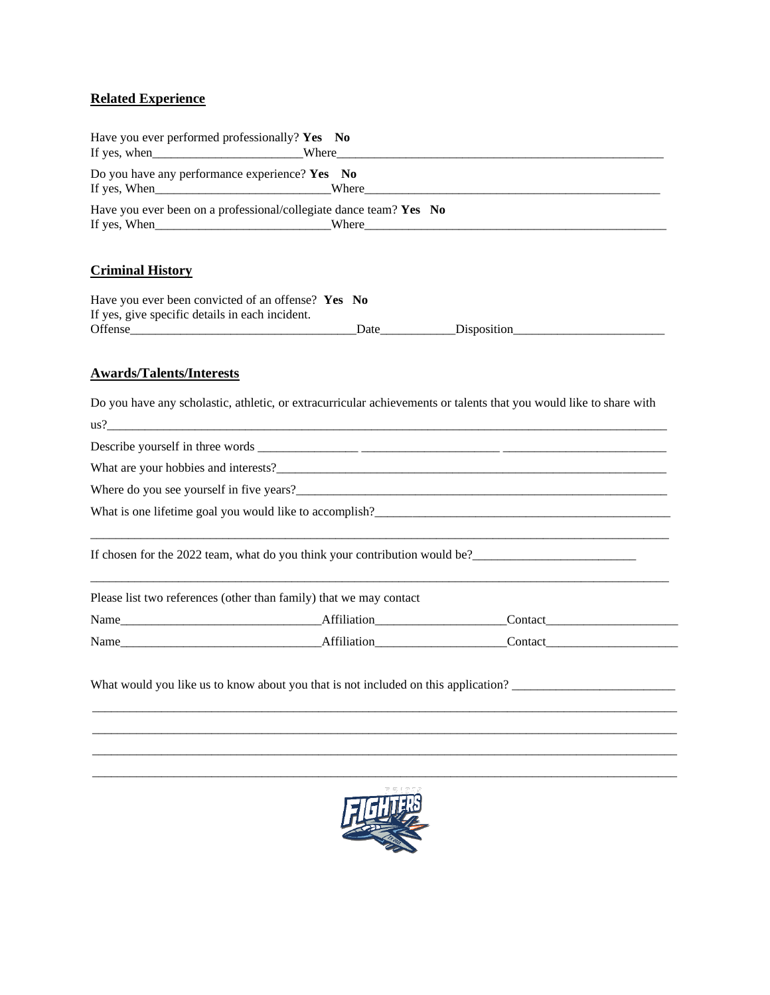### **Related Experience**

| Have you ever performed professionally? Yes No            |                                                                    |  |
|-----------------------------------------------------------|--------------------------------------------------------------------|--|
| Do you have any performance experience? Yes $\mathbf{No}$ |                                                                    |  |
|                                                           |                                                                    |  |
|                                                           | Have you ever been on a professional/collegiate dance team? Yes No |  |
| If yes, When $\qquad \qquad$                              | <b>Solution</b> Where $\theta$                                     |  |
|                                                           |                                                                    |  |
|                                                           |                                                                    |  |

## **Criminal History**

| Have you ever been convicted of an offense? Yes No |             |             |  |
|----------------------------------------------------|-------------|-------------|--|
| If yes, give specific details in each incident.    |             |             |  |
| Offense                                            | <b>Date</b> | Disposition |  |

#### **Awards/Talents/Interests**

Do you have any scholastic, athletic, or extracurricular achievements or talents that you would like to share with

| $\frac{1}{2}$                                                              |  |
|----------------------------------------------------------------------------|--|
|                                                                            |  |
|                                                                            |  |
|                                                                            |  |
| What is one lifetime goal you would like to accomplish?                    |  |
| If chosen for the 2022 team, what do you think your contribution would be? |  |
| Please list two references (other than family) that we may contact         |  |
|                                                                            |  |
| Name Affiliation Contact                                                   |  |
|                                                                            |  |

What would you like us to know about you that is not included on this application?



\_\_\_\_\_\_\_\_\_\_\_\_\_\_\_\_\_\_\_\_\_\_\_\_\_\_\_\_\_\_\_\_\_\_\_\_\_\_\_\_\_\_\_\_\_\_\_\_\_\_\_\_\_\_\_\_\_\_\_\_\_\_\_\_\_\_\_\_\_\_\_\_\_\_\_\_\_\_\_\_\_\_\_\_\_\_\_\_\_\_\_\_\_ \_\_\_\_\_\_\_\_\_\_\_\_\_\_\_\_\_\_\_\_\_\_\_\_\_\_\_\_\_\_\_\_\_\_\_\_\_\_\_\_\_\_\_\_\_\_\_\_\_\_\_\_\_\_\_\_\_\_\_\_\_\_\_\_\_\_\_\_\_\_\_\_\_\_\_\_\_\_\_\_\_\_\_\_\_\_\_\_\_\_\_\_\_  $\_$  ,  $\_$  ,  $\_$  ,  $\_$  ,  $\_$  ,  $\_$  ,  $\_$  ,  $\_$  ,  $\_$  ,  $\_$  ,  $\_$  ,  $\_$  ,  $\_$  ,  $\_$  ,  $\_$  ,  $\_$  ,  $\_$  ,  $\_$  ,  $\_$  ,  $\_$  ,  $\_$  ,  $\_$  ,  $\_$  ,  $\_$  ,  $\_$  ,  $\_$  ,  $\_$  ,  $\_$  ,  $\_$  ,  $\_$  ,  $\_$  ,  $\_$  ,  $\_$  ,  $\_$  ,  $\_$  ,  $\_$  ,  $\_$  ,  $\_$  ,  $\_$  ,  $\_$  ,  $\_$  ,  $\_$  ,  $\_$  ,  $\_$  ,  $\_$  ,  $\_$  ,  $\_$  ,  $\_$  ,  $\_$  ,  $\_$  ,  $\_$  ,  $\_$  ,  $\_$  ,  $\_$  ,  $\_$  ,  $\_$  ,  $\_$  ,  $\_$  ,  $\_$  ,  $\_$  ,  $\_$  ,  $\_$  ,  $\_$  ,  $\_$  ,  $\_$  ,  $\_$  ,  $\_$  ,  $\_$  ,  $\_$  ,  $\_$  ,  $\_$  ,  $\_$  ,  $\_$  ,  $\_$  ,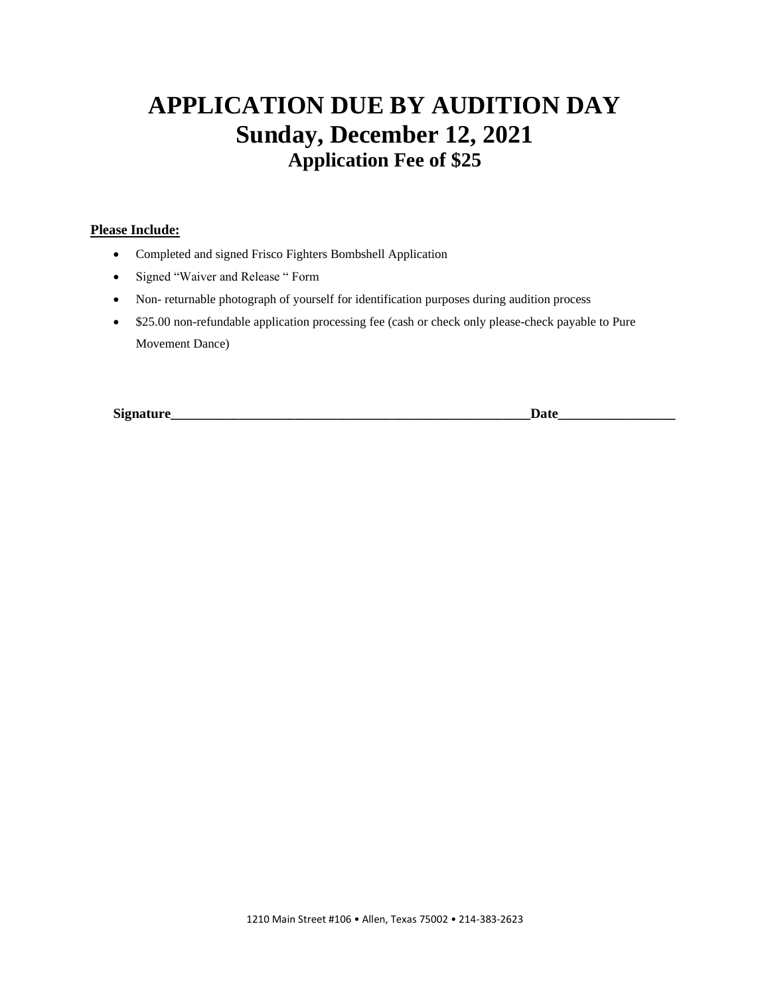# **APPLICATION DUE BY AUDITION DAY Sunday, December 12, 2021 Application Fee of \$25**

#### **Please Include:**

- Completed and signed Frisco Fighters Bombshell Application
- Signed "Waiver and Release " Form
- Non- returnable photograph of yourself for identification purposes during audition process
- \$25.00 non-refundable application processing fee (cash or check only please-check payable to Pure Movement Dance)

**Signature\_\_\_\_\_\_\_\_\_\_\_\_\_\_\_\_\_\_\_\_\_\_\_\_\_\_\_\_\_\_\_\_\_\_\_\_\_\_\_\_\_\_\_\_\_\_\_\_\_\_\_\_Date\_\_\_\_\_\_\_\_\_\_\_\_\_\_\_\_\_**